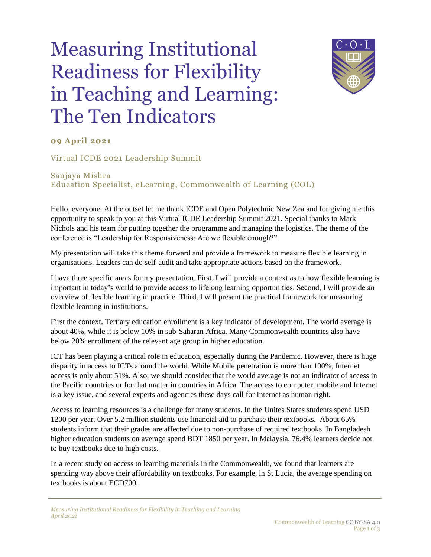## Measuring Institutional Readiness for Flexibility in Teaching and Learning: The Ten Indicators



## **09 April 2021**

Virtual ICDE 2021 Leadership Summit

Sanjaya Mishra Education Specialist, eLearning, Commonwealth of Learning (COL)

Hello, everyone. At the outset let me thank ICDE and Open Polytechnic New Zealand for giving me this opportunity to speak to you at this Virtual ICDE Leadership Summit 2021. Special thanks to Mark Nichols and his team for putting together the programme and managing the logistics. The theme of the conference is "Leadership for Responsiveness: Are we flexible enough?".

My presentation will take this theme forward and provide a framework to measure flexible learning in organisations. Leaders can do self-audit and take appropriate actions based on the framework.

I have three specific areas for my presentation. First, I will provide a context as to how flexible learning is important in today's world to provide access to lifelong learning opportunities. Second, I will provide an overview of flexible learning in practice. Third, I will present the practical framework for measuring flexible learning in institutions.

First the context. Tertiary education enrollment is a key indicator of development. The world average is about 40%, while it is below 10% in sub-Saharan Africa. Many Commonwealth countries also have below 20% enrollment of the relevant age group in higher education.

ICT has been playing a critical role in education, especially during the Pandemic. However, there is huge disparity in access to ICTs around the world. While Mobile penetration is more than 100%, Internet access is only about 51%. Also, we should consider that the world average is not an indicator of access in the Pacific countries or for that matter in countries in Africa. The access to computer, mobile and Internet is a key issue, and several experts and agencies these days call for Internet as human right.

Access to learning resources is a challenge for many students. In the Unites States students spend USD 1200 per year. Over 5.2 million students use financial aid to purchase their textbooks. About 65% students inform that their grades are affected due to non-purchase of required textbooks. In Bangladesh higher education students on average spend BDT 1850 per year. In Malaysia, 76.4% learners decide not to buy textbooks due to high costs.

In a recent study on access to learning materials in the Commonwealth, we found that learners are spending way above their affordability on textbooks. For example, in St Lucia, the average spending on textbooks is about ECD700.

*Measuring Institutional Readiness for Flexibility in Teaching and Learning April 2021*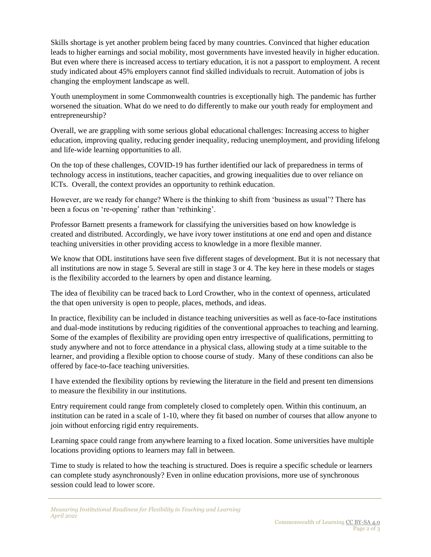Skills shortage is yet another problem being faced by many countries. Convinced that higher education leads to higher earnings and social mobility, most governments have invested heavily in higher education. But even where there is increased access to tertiary education, it is not a passport to employment. A recent study indicated about 45% employers cannot find skilled individuals to recruit. Automation of jobs is changing the employment landscape as well.

Youth unemployment in some Commonwealth countries is exceptionally high. The pandemic has further worsened the situation. What do we need to do differently to make our youth ready for employment and entrepreneurship?

Overall, we are grappling with some serious global educational challenges: Increasing access to higher education, improving quality, reducing gender inequality, reducing unemployment, and providing lifelong and life-wide learning opportunities to all.

On the top of these challenges, COVID-19 has further identified our lack of preparedness in terms of technology access in institutions, teacher capacities, and growing inequalities due to over reliance on ICTs. Overall, the context provides an opportunity to rethink education.

However, are we ready for change? Where is the thinking to shift from 'business as usual'? There has been a focus on 're-opening' rather than 'rethinking'.

Professor Barnett presents a framework for classifying the universities based on how knowledge is created and distributed. Accordingly, we have ivory tower institutions at one end and open and distance teaching universities in other providing access to knowledge in a more flexible manner.

We know that ODL institutions have seen five different stages of development. But it is not necessary that all institutions are now in stage 5. Several are still in stage 3 or 4. The key here in these models or stages is the flexibility accorded to the learners by open and distance learning.

The idea of flexibility can be traced back to Lord Crowther, who in the context of openness, articulated the that open university is open to people, places, methods, and ideas.

In practice, flexibility can be included in distance teaching universities as well as face-to-face institutions and dual-mode institutions by reducing rigidities of the conventional approaches to teaching and learning. Some of the examples of flexibility are providing open entry irrespective of qualifications, permitting to study anywhere and not to force attendance in a physical class, allowing study at a time suitable to the learner, and providing a flexible option to choose course of study. Many of these conditions can also be offered by face-to-face teaching universities.

I have extended the flexibility options by reviewing the literature in the field and present ten dimensions to measure the flexibility in our institutions.

Entry requirement could range from completely closed to completely open. Within this continuum, an institution can be rated in a scale of 1-10, where they fit based on number of courses that allow anyone to join without enforcing rigid entry requirements.

Learning space could range from anywhere learning to a fixed location. Some universities have multiple locations providing options to learners may fall in between.

Time to study is related to how the teaching is structured. Does is require a specific schedule or learners can complete study asynchronously? Even in online education provisions, more use of synchronous session could lead to lower score.

*Measuring Institutional Readiness for Flexibility in Teaching and Learning April 2021*